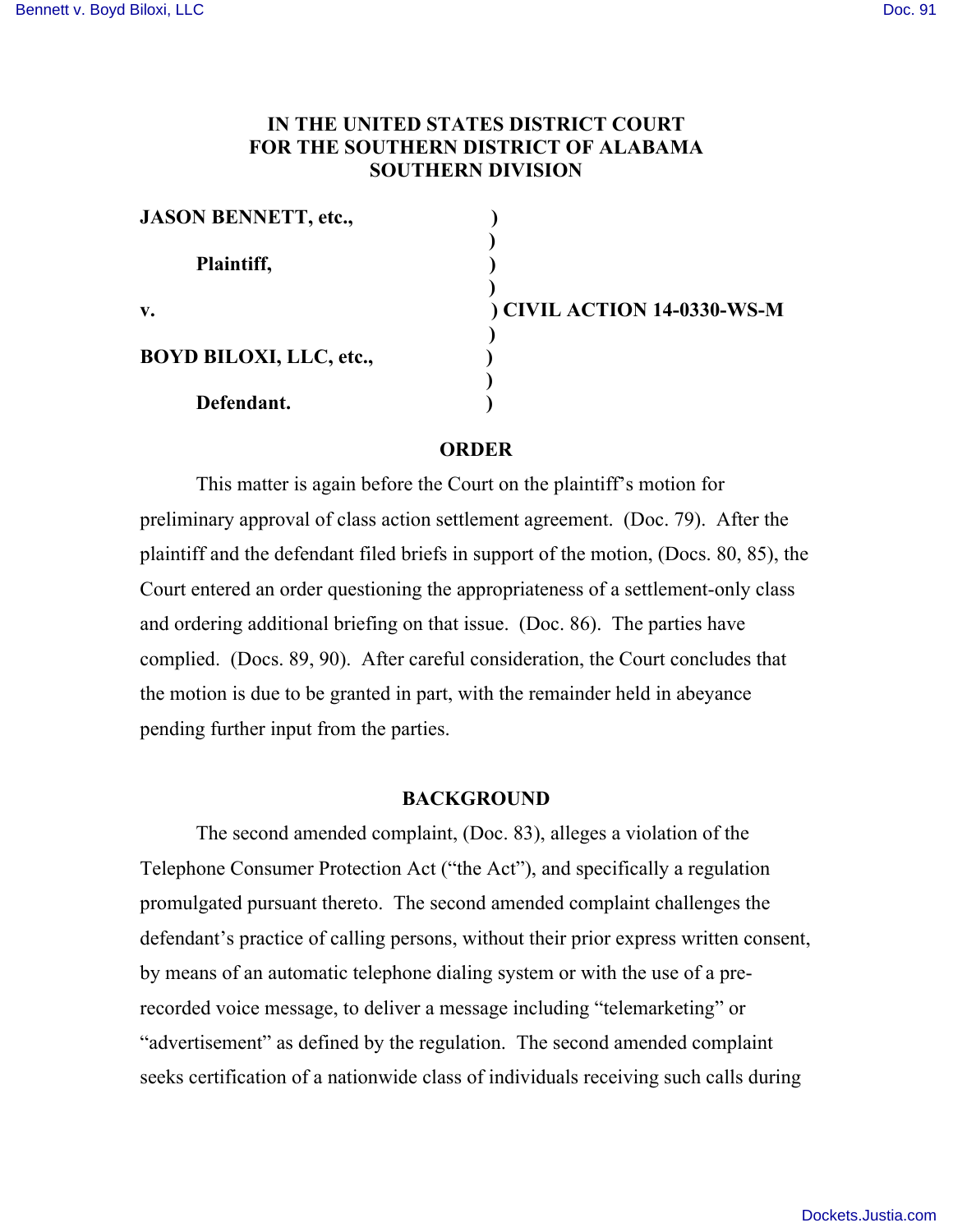# **IN THE UNITED STATES DISTRICT COURT FOR THE SOUTHERN DISTRICT OF ALABAMA SOUTHERN DIVISION**

| <b>JASON BENNETT, etc.,</b>    |                             |
|--------------------------------|-----------------------------|
| Plaintiff,                     |                             |
| V.                             | ) CIVIL ACTION 14-0330-WS-M |
| <b>BOYD BILOXI, LLC, etc.,</b> |                             |
| Defendant.                     |                             |

#### **ORDER**

This matter is again before the Court on the plaintiff's motion for preliminary approval of class action settlement agreement. (Doc. 79). After the plaintiff and the defendant filed briefs in support of the motion, (Docs. 80, 85), the Court entered an order questioning the appropriateness of a settlement-only class and ordering additional briefing on that issue. (Doc. 86). The parties have complied. (Docs. 89, 90). After careful consideration, the Court concludes that the motion is due to be granted in part, with the remainder held in abeyance pending further input from the parties.

### **BACKGROUND**

The second amended complaint, (Doc. 83), alleges a violation of the Telephone Consumer Protection Act ("the Act"), and specifically a regulation promulgated pursuant thereto. The second amended complaint challenges the defendant's practice of calling persons, without their prior express written consent, by means of an automatic telephone dialing system or with the use of a prerecorded voice message, to deliver a message including "telemarketing" or "advertisement" as defined by the regulation. The second amended complaint seeks certification of a nationwide class of individuals receiving such calls during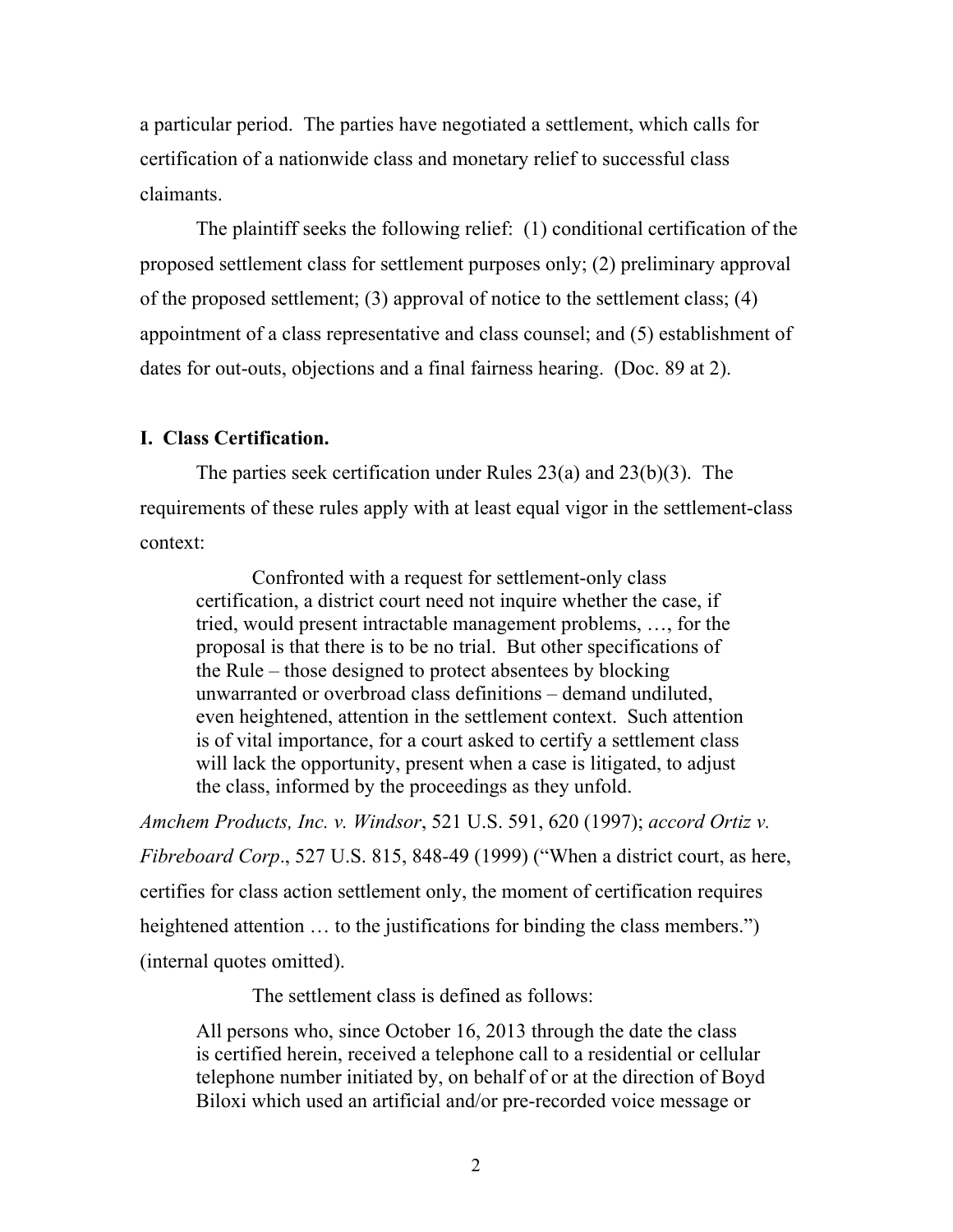a particular period. The parties have negotiated a settlement, which calls for certification of a nationwide class and monetary relief to successful class claimants.

The plaintiff seeks the following relief: (1) conditional certification of the proposed settlement class for settlement purposes only; (2) preliminary approval of the proposed settlement; (3) approval of notice to the settlement class; (4) appointment of a class representative and class counsel; and (5) establishment of dates for out-outs, objections and a final fairness hearing. (Doc. 89 at 2).

# **I. Class Certification.**

The parties seek certification under Rules 23(a) and 23(b)(3). The requirements of these rules apply with at least equal vigor in the settlement-class context:

Confronted with a request for settlement-only class certification, a district court need not inquire whether the case, if tried, would present intractable management problems, …, for the proposal is that there is to be no trial. But other specifications of the Rule – those designed to protect absentees by blocking unwarranted or overbroad class definitions – demand undiluted, even heightened, attention in the settlement context. Such attention is of vital importance, for a court asked to certify a settlement class will lack the opportunity, present when a case is litigated, to adjust the class, informed by the proceedings as they unfold.

*Amchem Products, Inc. v. Windsor*, 521 U.S. 591, 620 (1997); *accord Ortiz v. Fibreboard Corp*., 527 U.S. 815, 848-49 (1999) ("When a district court, as here, certifies for class action settlement only, the moment of certification requires heightened attention ... to the justifications for binding the class members.") (internal quotes omitted).

The settlement class is defined as follows:

All persons who, since October 16, 2013 through the date the class is certified herein, received a telephone call to a residential or cellular telephone number initiated by, on behalf of or at the direction of Boyd Biloxi which used an artificial and/or pre-recorded voice message or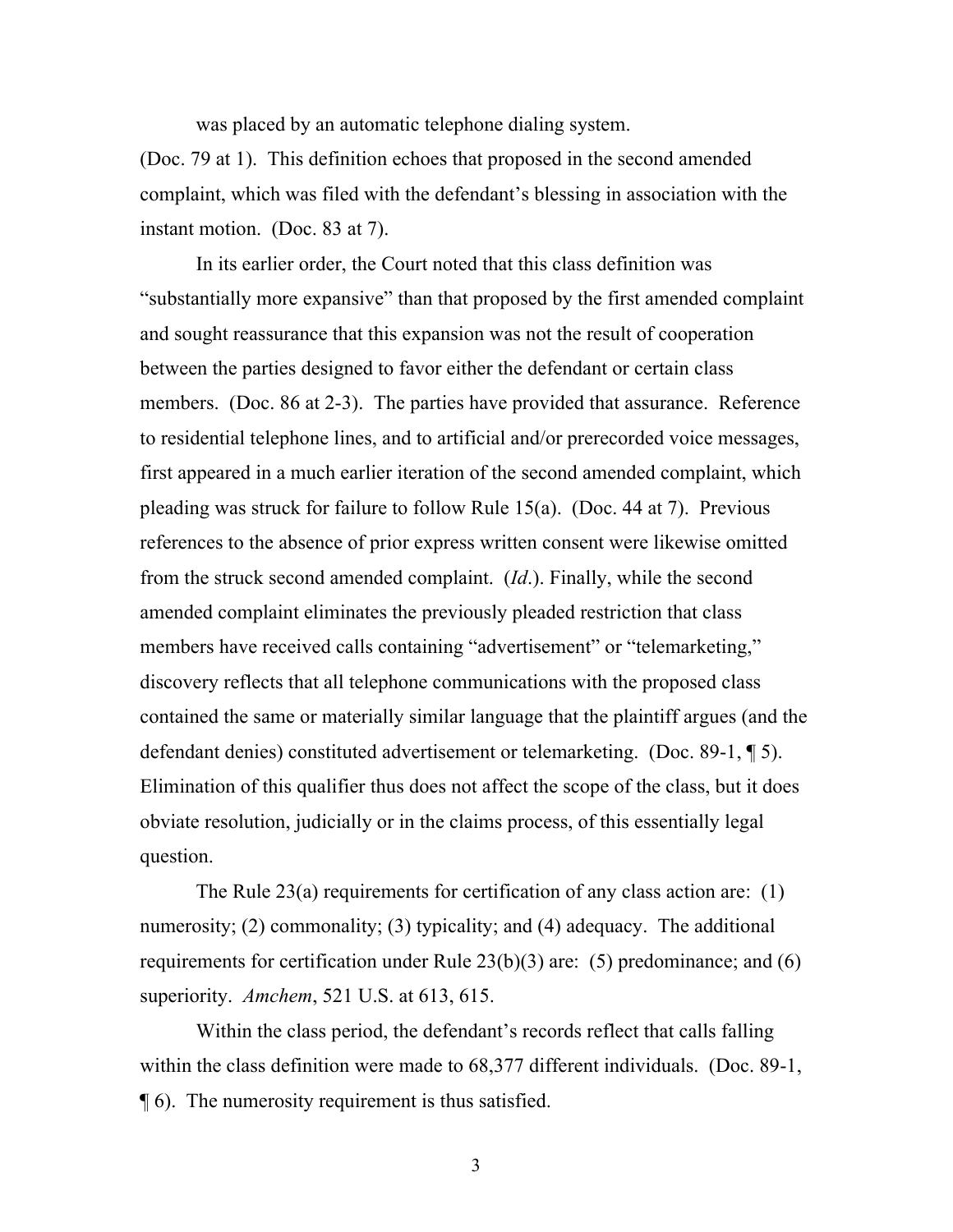was placed by an automatic telephone dialing system.

(Doc. 79 at 1). This definition echoes that proposed in the second amended complaint, which was filed with the defendant's blessing in association with the instant motion. (Doc. 83 at 7).

In its earlier order, the Court noted that this class definition was "substantially more expansive" than that proposed by the first amended complaint and sought reassurance that this expansion was not the result of cooperation between the parties designed to favor either the defendant or certain class members. (Doc. 86 at 2-3). The parties have provided that assurance. Reference to residential telephone lines, and to artificial and/or prerecorded voice messages, first appeared in a much earlier iteration of the second amended complaint, which pleading was struck for failure to follow Rule 15(a). (Doc. 44 at 7). Previous references to the absence of prior express written consent were likewise omitted from the struck second amended complaint. (*Id*.). Finally, while the second amended complaint eliminates the previously pleaded restriction that class members have received calls containing "advertisement" or "telemarketing," discovery reflects that all telephone communications with the proposed class contained the same or materially similar language that the plaintiff argues (and the defendant denies) constituted advertisement or telemarketing. (Doc. 89-1, ¶ 5). Elimination of this qualifier thus does not affect the scope of the class, but it does obviate resolution, judicially or in the claims process, of this essentially legal question.

The Rule 23(a) requirements for certification of any class action are: (1) numerosity; (2) commonality; (3) typicality; and (4) adequacy. The additional requirements for certification under Rule 23(b)(3) are: (5) predominance; and (6) superiority. *Amchem*, 521 U.S. at 613, 615.

Within the class period, the defendant's records reflect that calls falling within the class definition were made to 68,377 different individuals. (Doc. 89-1, ¶ 6). The numerosity requirement is thus satisfied.

3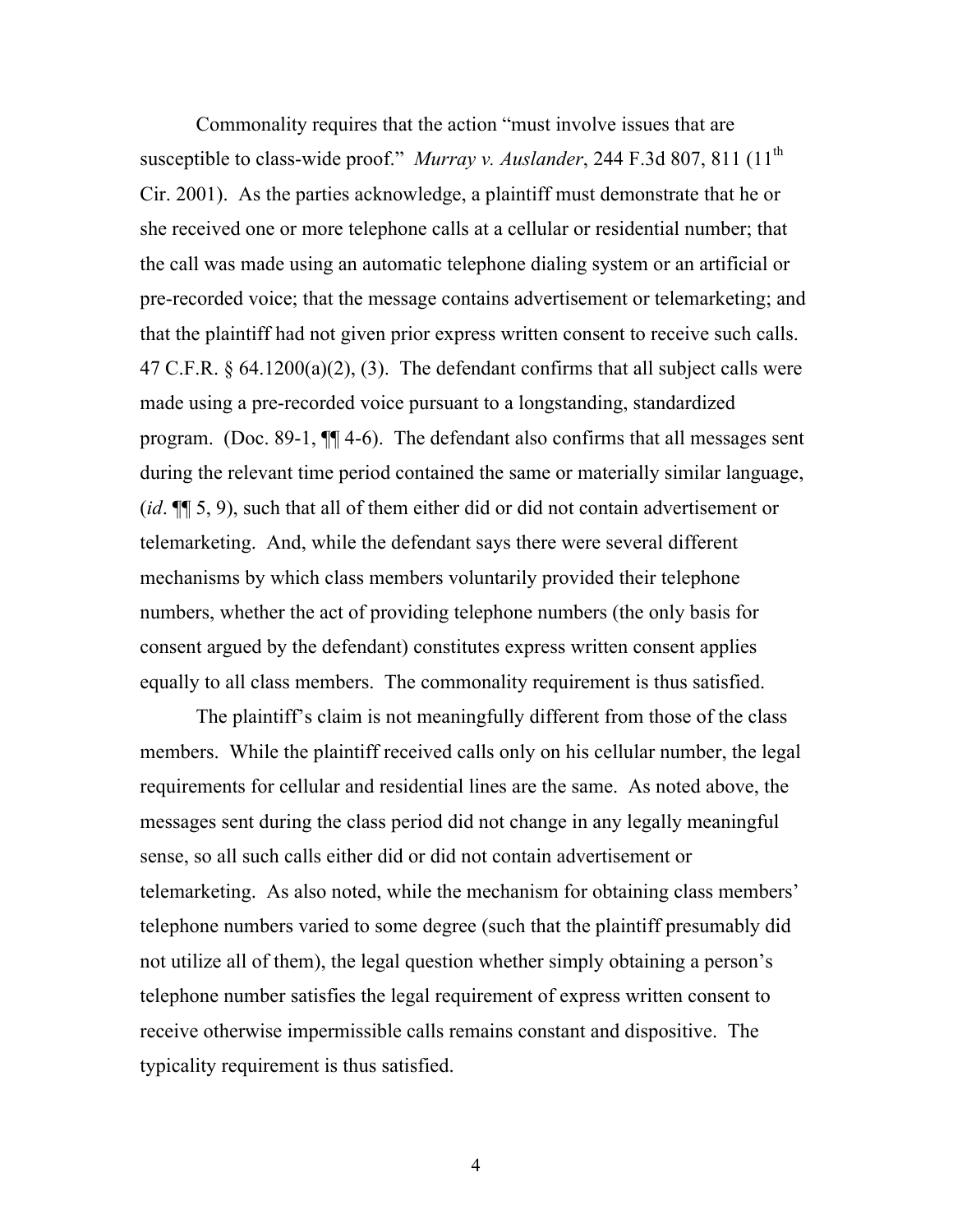Commonality requires that the action "must involve issues that are susceptible to class-wide proof." *Murray v. Auslander*, 244 F.3d 807, 811 (11<sup>th</sup>) Cir. 2001). As the parties acknowledge, a plaintiff must demonstrate that he or she received one or more telephone calls at a cellular or residential number; that the call was made using an automatic telephone dialing system or an artificial or pre-recorded voice; that the message contains advertisement or telemarketing; and that the plaintiff had not given prior express written consent to receive such calls. 47 C.F.R.  $\S$  64.1200(a)(2), (3). The defendant confirms that all subject calls were made using a pre-recorded voice pursuant to a longstanding, standardized program. (Doc. 89-1, ¶¶ 4-6). The defendant also confirms that all messages sent during the relevant time period contained the same or materially similar language, (*id*. ¶¶ 5, 9), such that all of them either did or did not contain advertisement or telemarketing. And, while the defendant says there were several different mechanisms by which class members voluntarily provided their telephone numbers, whether the act of providing telephone numbers (the only basis for consent argued by the defendant) constitutes express written consent applies equally to all class members. The commonality requirement is thus satisfied.

The plaintiff's claim is not meaningfully different from those of the class members. While the plaintiff received calls only on his cellular number, the legal requirements for cellular and residential lines are the same. As noted above, the messages sent during the class period did not change in any legally meaningful sense, so all such calls either did or did not contain advertisement or telemarketing. As also noted, while the mechanism for obtaining class members' telephone numbers varied to some degree (such that the plaintiff presumably did not utilize all of them), the legal question whether simply obtaining a person's telephone number satisfies the legal requirement of express written consent to receive otherwise impermissible calls remains constant and dispositive. The typicality requirement is thus satisfied.

4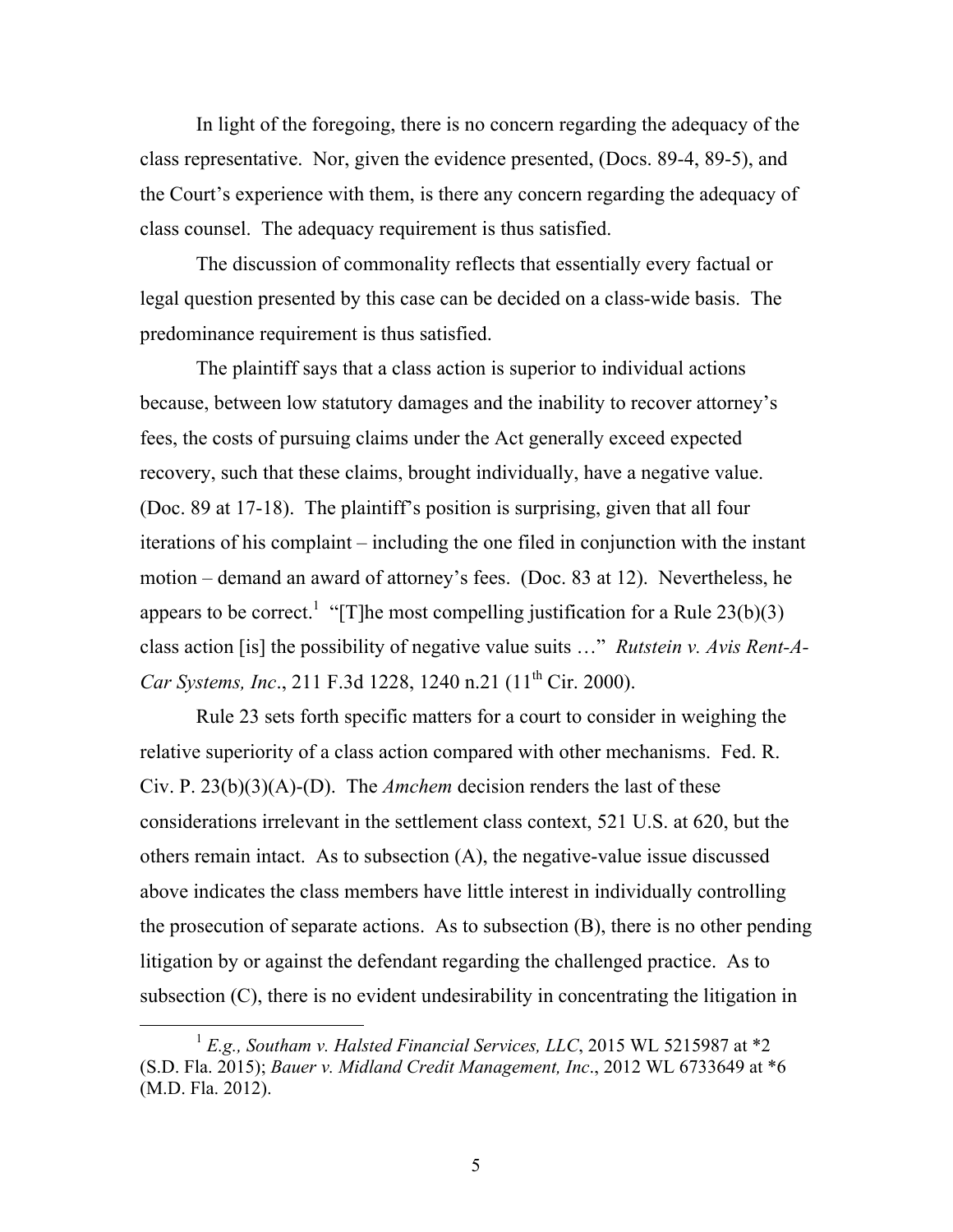In light of the foregoing, there is no concern regarding the adequacy of the class representative. Nor, given the evidence presented, (Docs. 89-4, 89-5), and the Court's experience with them, is there any concern regarding the adequacy of class counsel. The adequacy requirement is thus satisfied.

The discussion of commonality reflects that essentially every factual or legal question presented by this case can be decided on a class-wide basis. The predominance requirement is thus satisfied.

The plaintiff says that a class action is superior to individual actions because, between low statutory damages and the inability to recover attorney's fees, the costs of pursuing claims under the Act generally exceed expected recovery, such that these claims, brought individually, have a negative value. (Doc. 89 at 17-18). The plaintiff's position is surprising, given that all four iterations of his complaint – including the one filed in conjunction with the instant motion – demand an award of attorney's fees. (Doc. 83 at 12). Nevertheless, he appears to be correct.<sup>1</sup> "[T]he most compelling justification for a Rule 23(b)(3) class action [is] the possibility of negative value suits …" *Rutstein v. Avis Rent-A-Car Systems, Inc.*, 211 F.3d 1228, 1240 n.21 (11<sup>th</sup> Cir. 2000).

Rule 23 sets forth specific matters for a court to consider in weighing the relative superiority of a class action compared with other mechanisms. Fed. R. Civ. P. 23(b)(3)(A)-(D). The *Amchem* decision renders the last of these considerations irrelevant in the settlement class context, 521 U.S. at 620, but the others remain intact. As to subsection (A), the negative-value issue discussed above indicates the class members have little interest in individually controlling the prosecution of separate actions. As to subsection (B), there is no other pending litigation by or against the defendant regarding the challenged practice. As to subsection (C), there is no evident undesirability in concentrating the litigation in

<sup>&</sup>lt;sup>1</sup> E.g., Southam v. Halsted Financial Services, LLC, 2015 WL 5215987 at \*2 (S.D. Fla. 2015); *Bauer v. Midland Credit Management, Inc*., 2012 WL 6733649 at \*6 (M.D. Fla. 2012).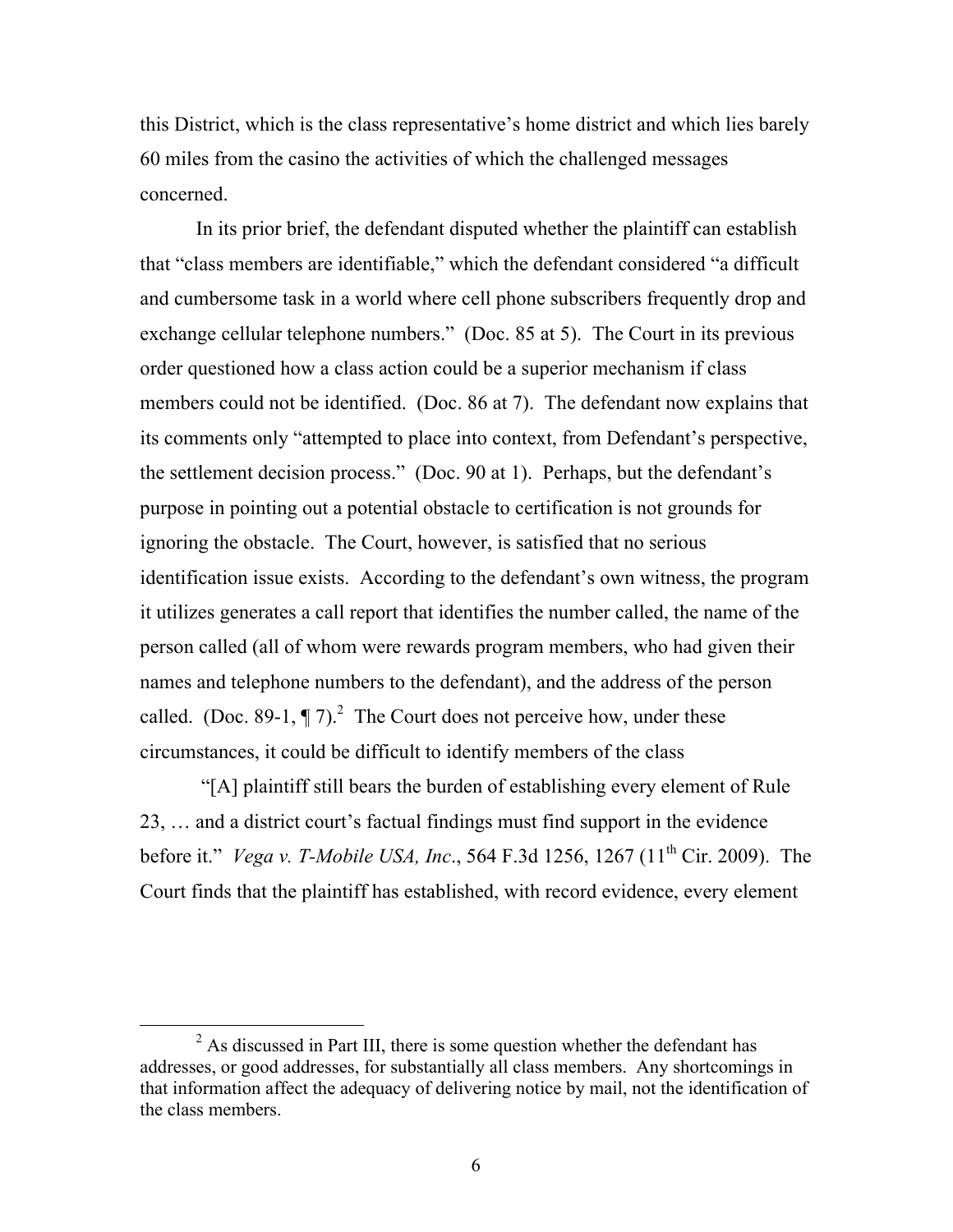this District, which is the class representative's home district and which lies barely 60 miles from the casino the activities of which the challenged messages concerned.

In its prior brief, the defendant disputed whether the plaintiff can establish that "class members are identifiable," which the defendant considered "a difficult and cumbersome task in a world where cell phone subscribers frequently drop and exchange cellular telephone numbers." (Doc. 85 at 5). The Court in its previous order questioned how a class action could be a superior mechanism if class members could not be identified. (Doc. 86 at 7). The defendant now explains that its comments only "attempted to place into context, from Defendant's perspective, the settlement decision process." (Doc. 90 at 1). Perhaps, but the defendant's purpose in pointing out a potential obstacle to certification is not grounds for ignoring the obstacle. The Court, however, is satisfied that no serious identification issue exists. According to the defendant's own witness, the program it utilizes generates a call report that identifies the number called, the name of the person called (all of whom were rewards program members, who had given their names and telephone numbers to the defendant), and the address of the person called. (Doc. 89-1,  $\P$  7).<sup>2</sup> The Court does not perceive how, under these circumstances, it could be difficult to identify members of the class

"[A] plaintiff still bears the burden of establishing every element of Rule 23, … and a district court's factual findings must find support in the evidence before it." *Vega v. T-Mobile USA, Inc*., 564 F.3d 1256, 1267 (11th Cir. 2009). The Court finds that the plaintiff has established, with record evidence, every element

 $2$  As discussed in Part III, there is some question whether the defendant has addresses, or good addresses, for substantially all class members. Any shortcomings in that information affect the adequacy of delivering notice by mail, not the identification of the class members.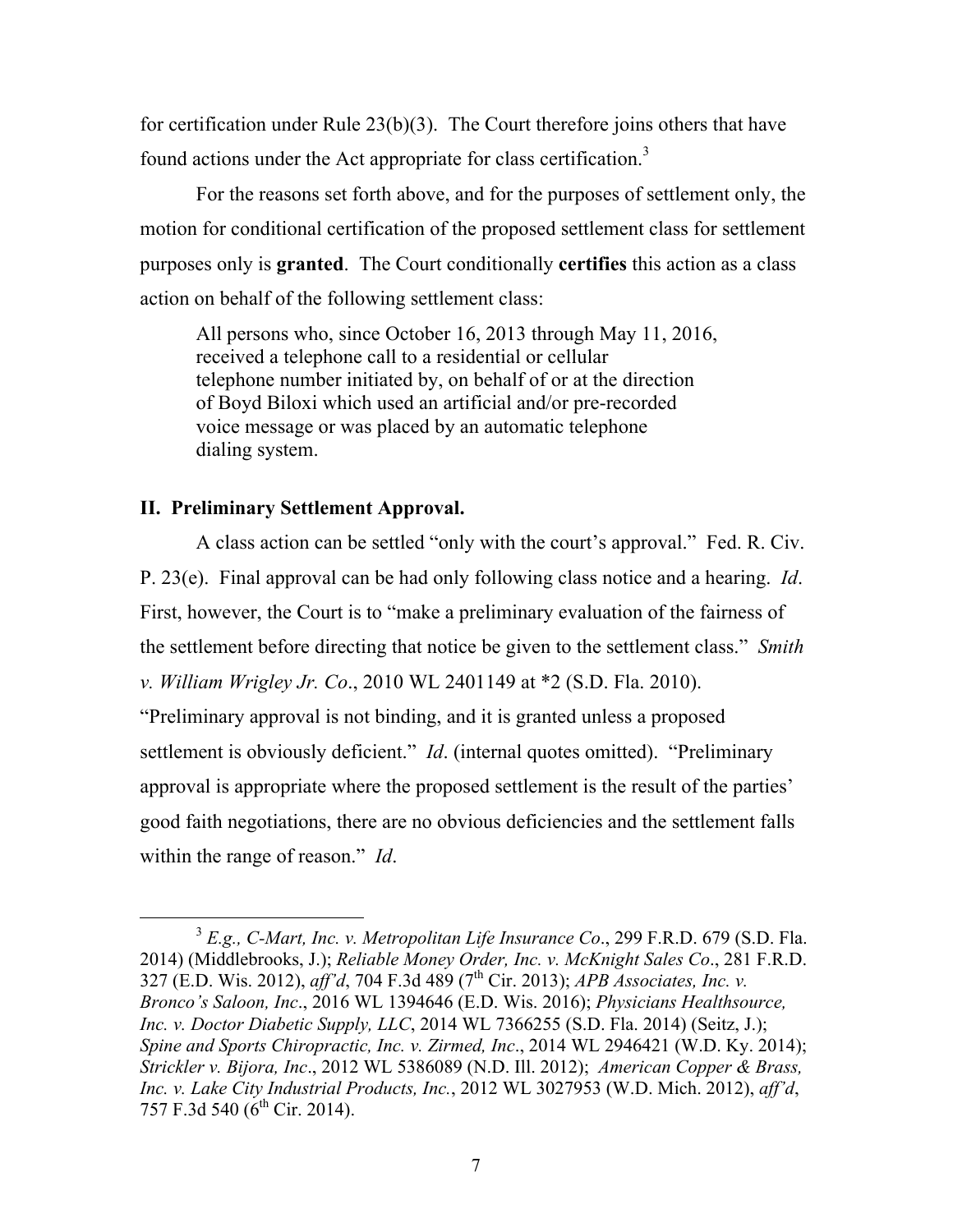for certification under Rule 23(b)(3). The Court therefore joins others that have found actions under the Act appropriate for class certification.<sup>3</sup>

For the reasons set forth above, and for the purposes of settlement only, the motion for conditional certification of the proposed settlement class for settlement purposes only is **granted**. The Court conditionally **certifies** this action as a class action on behalf of the following settlement class:

All persons who, since October 16, 2013 through May 11, 2016, received a telephone call to a residential or cellular telephone number initiated by, on behalf of or at the direction of Boyd Biloxi which used an artificial and/or pre-recorded voice message or was placed by an automatic telephone dialing system.

# **II. Preliminary Settlement Approval.**

A class action can be settled "only with the court's approval." Fed. R. Civ. P. 23(e). Final approval can be had only following class notice and a hearing. *Id*. First, however, the Court is to "make a preliminary evaluation of the fairness of the settlement before directing that notice be given to the settlement class." *Smith v. William Wrigley Jr. Co*., 2010 WL 2401149 at \*2 (S.D. Fla. 2010). "Preliminary approval is not binding, and it is granted unless a proposed settlement is obviously deficient." *Id.* (internal quotes omitted). "Preliminary approval is appropriate where the proposed settlement is the result of the parties'

good faith negotiations, there are no obvious deficiencies and the settlement falls within the range of reason." *Id*.

 <sup>3</sup> *E.g., C-Mart, Inc. v. Metropolitan Life Insurance Co*., 299 F.R.D. 679 (S.D. Fla. 2014) (Middlebrooks, J.); *Reliable Money Order, Inc. v. McKnight Sales Co*., 281 F.R.D. 327 (E.D. Wis. 2012), *aff'd*, 704 F.3d 489 (7<sup>th</sup> Cir. 2013); *APB Associates, Inc. v. Bronco's Saloon, Inc*., 2016 WL 1394646 (E.D. Wis. 2016); *Physicians Healthsource, Inc. v. Doctor Diabetic Supply, LLC*, 2014 WL 7366255 (S.D. Fla. 2014) (Seitz, J.); *Spine and Sports Chiropractic, Inc. v. Zirmed, Inc*., 2014 WL 2946421 (W.D. Ky. 2014); *Strickler v. Bijora, Inc*., 2012 WL 5386089 (N.D. Ill. 2012); *American Copper & Brass, Inc. v. Lake City Industrial Products, Inc.*, 2012 WL 3027953 (W.D. Mich. 2012), *aff'd*, 757 F.3d 540 (6<sup>th</sup> Cir. 2014).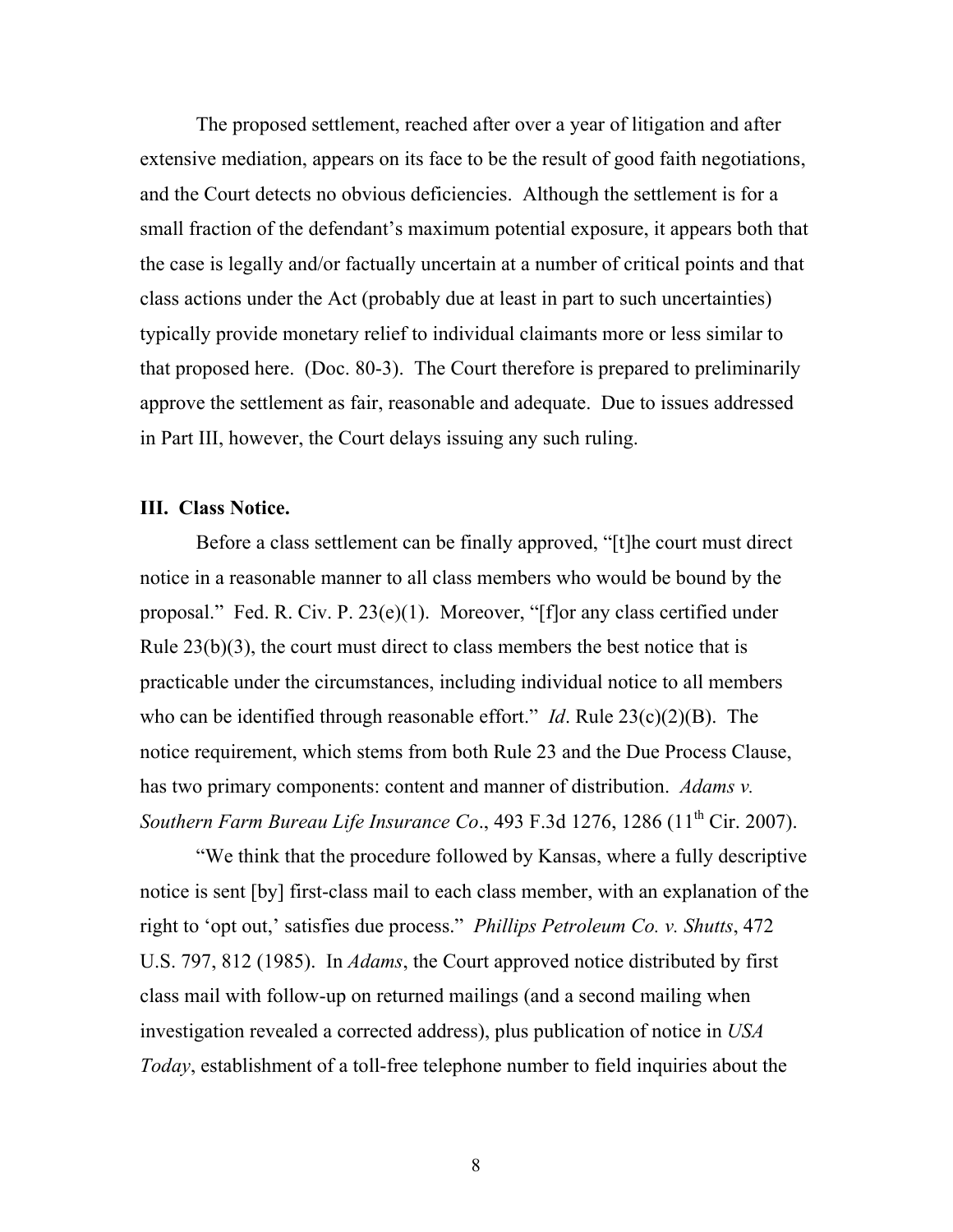The proposed settlement, reached after over a year of litigation and after extensive mediation, appears on its face to be the result of good faith negotiations, and the Court detects no obvious deficiencies. Although the settlement is for a small fraction of the defendant's maximum potential exposure, it appears both that the case is legally and/or factually uncertain at a number of critical points and that class actions under the Act (probably due at least in part to such uncertainties) typically provide monetary relief to individual claimants more or less similar to that proposed here. (Doc. 80-3). The Court therefore is prepared to preliminarily approve the settlement as fair, reasonable and adequate. Due to issues addressed in Part III, however, the Court delays issuing any such ruling.

## **III. Class Notice.**

Before a class settlement can be finally approved, "[t]he court must direct notice in a reasonable manner to all class members who would be bound by the proposal." Fed. R. Civ. P. 23(e)(1). Moreover, "[f]or any class certified under Rule 23(b)(3), the court must direct to class members the best notice that is practicable under the circumstances, including individual notice to all members who can be identified through reasonable effort." *Id*. Rule 23(c)(2)(B). The notice requirement, which stems from both Rule 23 and the Due Process Clause, has two primary components: content and manner of distribution. *Adams v. Southern Farm Bureau Life Insurance Co.*, 493 F.3d 1276, 1286 (11<sup>th</sup> Cir. 2007).

"We think that the procedure followed by Kansas, where a fully descriptive notice is sent [by] first-class mail to each class member, with an explanation of the right to 'opt out,' satisfies due process." *Phillips Petroleum Co. v. Shutts*, 472 U.S. 797, 812 (1985). In *Adams*, the Court approved notice distributed by first class mail with follow-up on returned mailings (and a second mailing when investigation revealed a corrected address), plus publication of notice in *USA Today*, establishment of a toll-free telephone number to field inquiries about the

8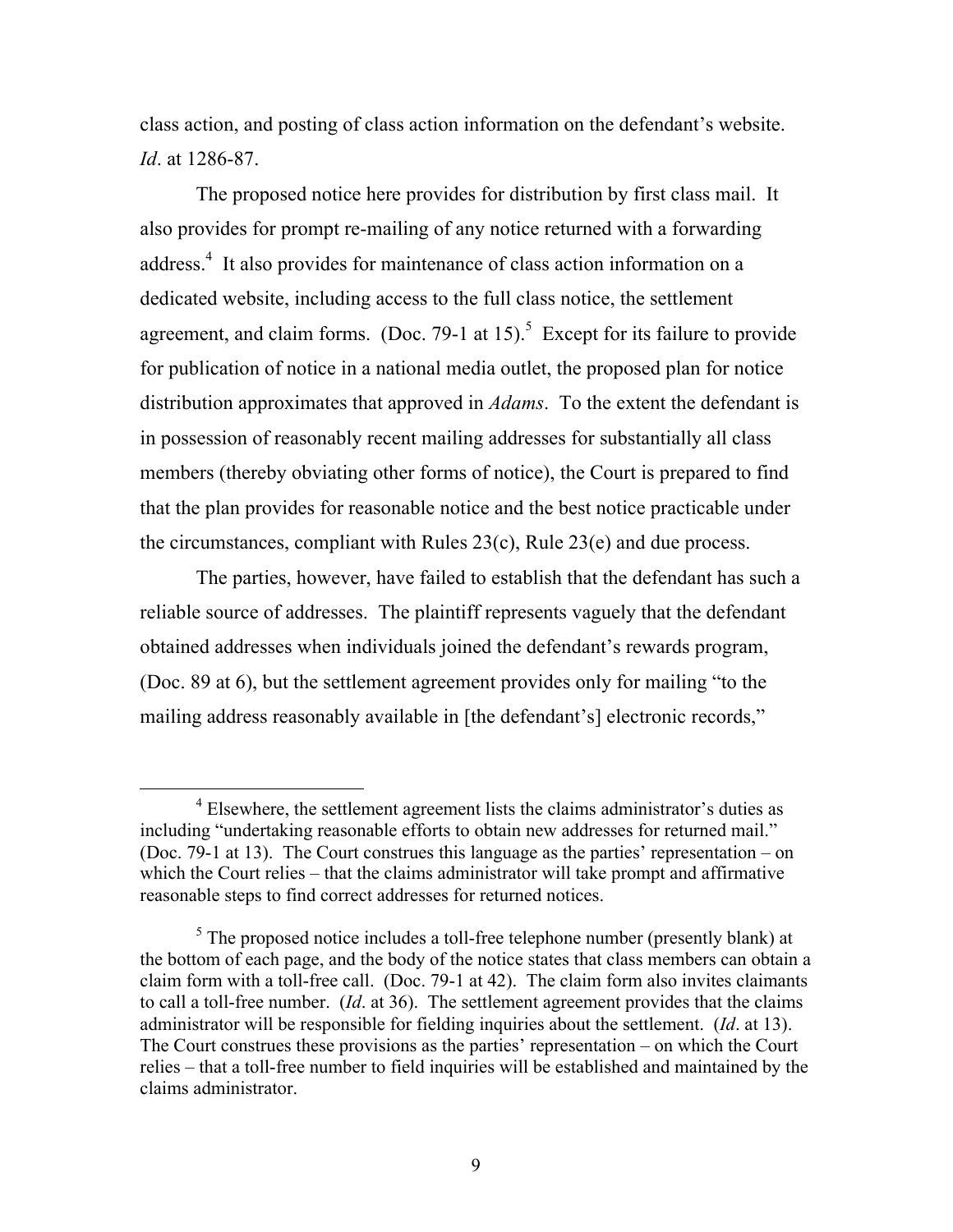class action, and posting of class action information on the defendant's website. *Id*. at 1286-87.

The proposed notice here provides for distribution by first class mail. It also provides for prompt re-mailing of any notice returned with a forwarding address.<sup>4</sup> It also provides for maintenance of class action information on a dedicated website, including access to the full class notice, the settlement agreement, and claim forms. (Doc. 79-1 at 15).<sup>5</sup> Except for its failure to provide for publication of notice in a national media outlet, the proposed plan for notice distribution approximates that approved in *Adams*. To the extent the defendant is in possession of reasonably recent mailing addresses for substantially all class members (thereby obviating other forms of notice), the Court is prepared to find that the plan provides for reasonable notice and the best notice practicable under the circumstances, compliant with Rules 23(c), Rule 23(e) and due process.

The parties, however, have failed to establish that the defendant has such a reliable source of addresses. The plaintiff represents vaguely that the defendant obtained addresses when individuals joined the defendant's rewards program, (Doc. 89 at 6), but the settlement agreement provides only for mailing "to the mailing address reasonably available in [the defendant's] electronic records,"

 $4$  Elsewhere, the settlement agreement lists the claims administrator's duties as including "undertaking reasonable efforts to obtain new addresses for returned mail." (Doc. 79-1 at 13). The Court construes this language as the parties' representation – on which the Court relies – that the claims administrator will take prompt and affirmative reasonable steps to find correct addresses for returned notices.

 $5$  The proposed notice includes a toll-free telephone number (presently blank) at the bottom of each page, and the body of the notice states that class members can obtain a claim form with a toll-free call. (Doc. 79-1 at 42). The claim form also invites claimants to call a toll-free number. (*Id*. at 36). The settlement agreement provides that the claims administrator will be responsible for fielding inquiries about the settlement. (*Id*. at 13). The Court construes these provisions as the parties' representation – on which the Court relies – that a toll-free number to field inquiries will be established and maintained by the claims administrator.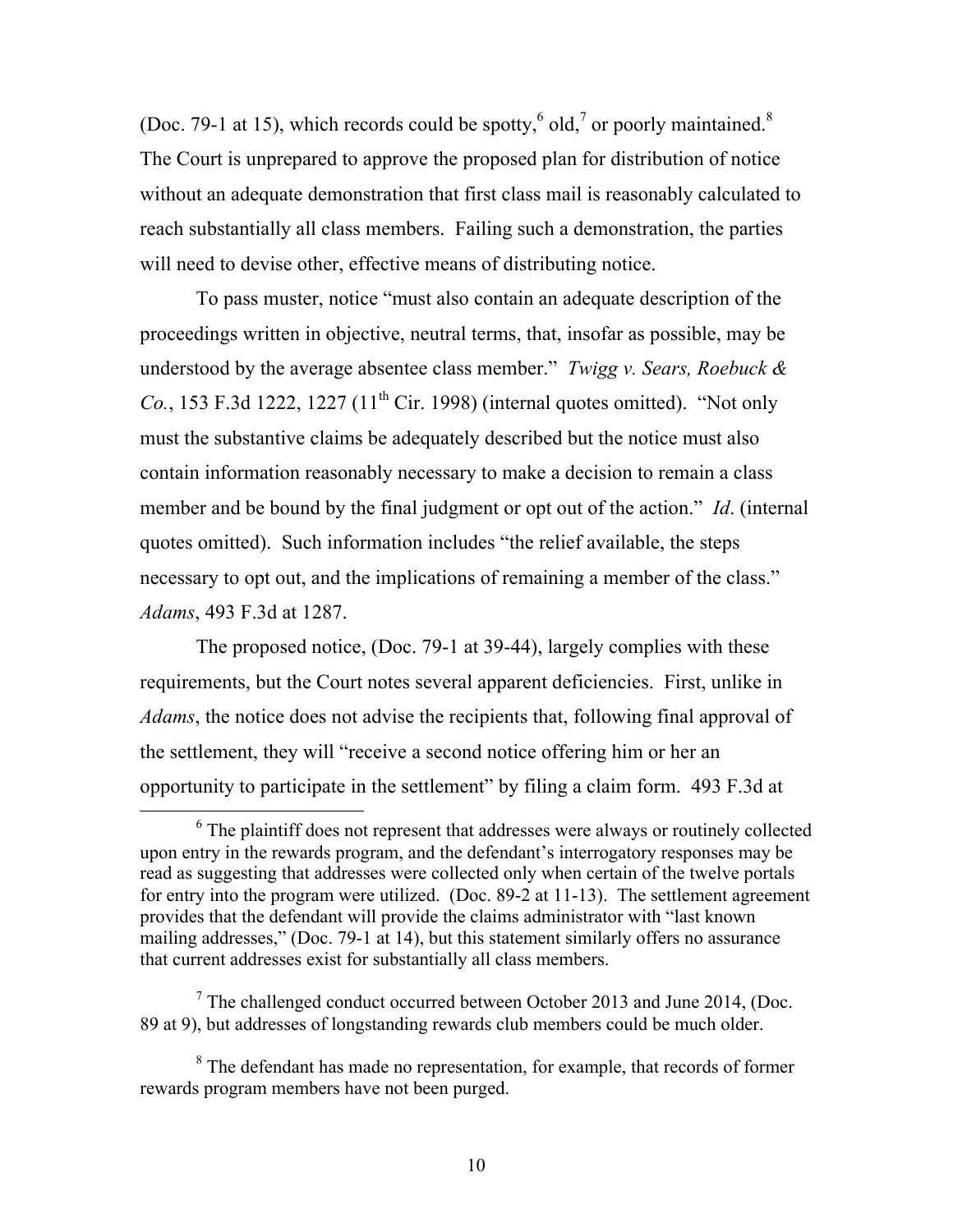(Doc. 79-1 at 15), which records could be spotty,  $6$  old,  $7$  or poorly maintained.<sup>8</sup> The Court is unprepared to approve the proposed plan for distribution of notice without an adequate demonstration that first class mail is reasonably calculated to reach substantially all class members. Failing such a demonstration, the parties will need to devise other, effective means of distributing notice.

To pass muster, notice "must also contain an adequate description of the proceedings written in objective, neutral terms, that, insofar as possible, may be understood by the average absentee class member." *Twigg v. Sears, Roebuck & Co.*, 153 F.3d 1222, 1227  $(11<sup>th</sup> Cir. 1998)$  (internal quotes omitted). "Not only must the substantive claims be adequately described but the notice must also contain information reasonably necessary to make a decision to remain a class member and be bound by the final judgment or opt out of the action." *Id*. (internal quotes omitted). Such information includes "the relief available, the steps necessary to opt out, and the implications of remaining a member of the class." *Adams*, 493 F.3d at 1287.

The proposed notice, (Doc. 79-1 at 39-44), largely complies with these requirements, but the Court notes several apparent deficiencies. First, unlike in *Adams*, the notice does not advise the recipients that, following final approval of the settlement, they will "receive a second notice offering him or her an opportunity to participate in the settlement" by filing a claim form. 493 F.3d at

 $7$  The challenged conduct occurred between October 2013 and June 2014, (Doc. 89 at 9), but addresses of longstanding rewards club members could be much older.

 <sup>6</sup> The plaintiff does not represent that addresses were always or routinely collected upon entry in the rewards program, and the defendant's interrogatory responses may be read as suggesting that addresses were collected only when certain of the twelve portals for entry into the program were utilized. (Doc. 89-2 at 11-13). The settlement agreement provides that the defendant will provide the claims administrator with "last known mailing addresses," (Doc. 79-1 at 14), but this statement similarly offers no assurance that current addresses exist for substantially all class members.

<sup>&</sup>lt;sup>8</sup> The defendant has made no representation, for example, that records of former rewards program members have not been purged.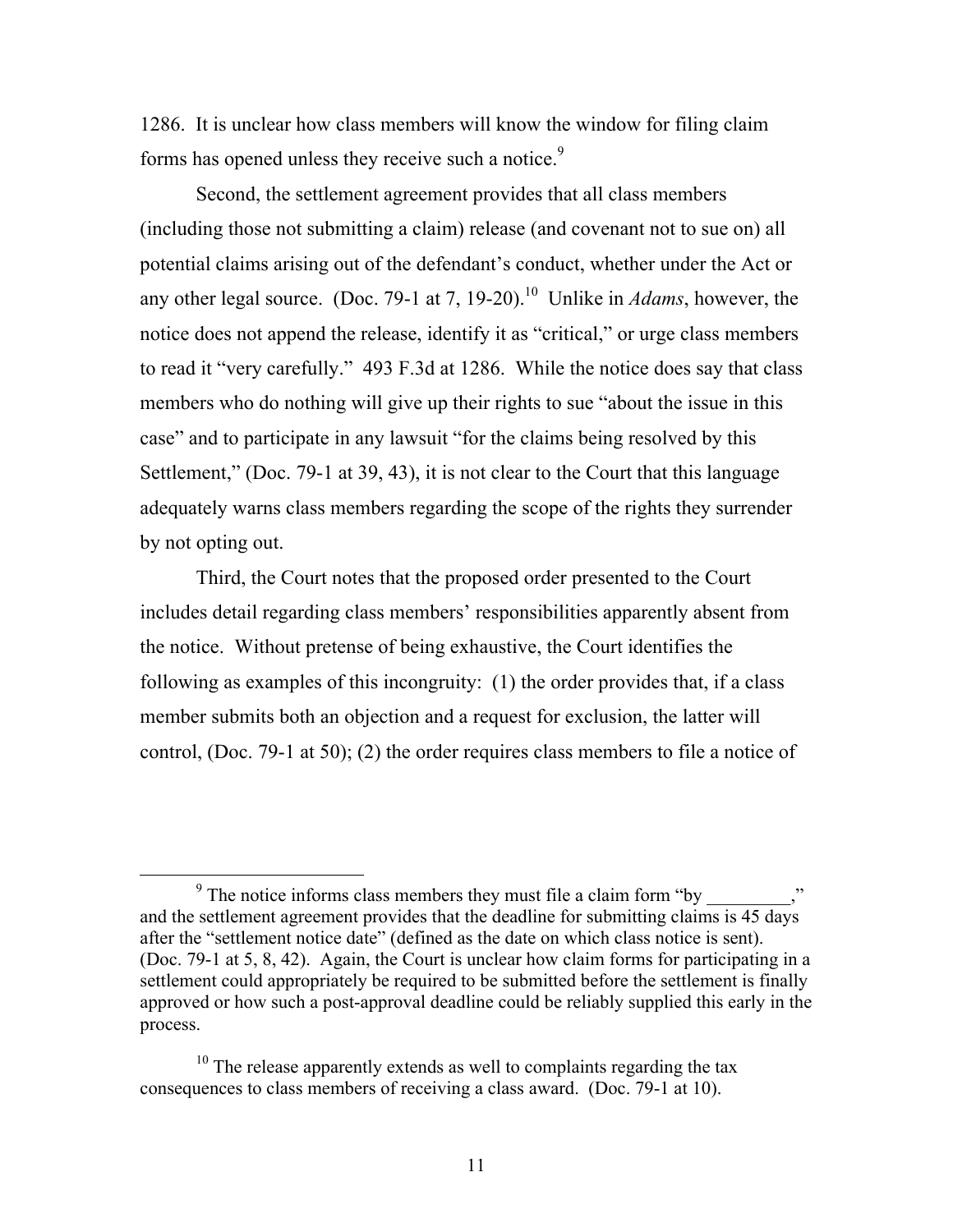1286. It is unclear how class members will know the window for filing claim forms has opened unless they receive such a notice.<sup>9</sup>

Second, the settlement agreement provides that all class members (including those not submitting a claim) release (and covenant not to sue on) all potential claims arising out of the defendant's conduct, whether under the Act or any other legal source. (Doc. 79-1 at 7, 19-20).<sup>10</sup> Unlike in *Adams*, however, the notice does not append the release, identify it as "critical," or urge class members to read it "very carefully." 493 F.3d at 1286. While the notice does say that class members who do nothing will give up their rights to sue "about the issue in this case" and to participate in any lawsuit "for the claims being resolved by this Settlement," (Doc. 79-1 at 39, 43), it is not clear to the Court that this language adequately warns class members regarding the scope of the rights they surrender by not opting out.

Third, the Court notes that the proposed order presented to the Court includes detail regarding class members' responsibilities apparently absent from the notice. Without pretense of being exhaustive, the Court identifies the following as examples of this incongruity: (1) the order provides that, if a class member submits both an objection and a request for exclusion, the latter will control, (Doc. 79-1 at 50); (2) the order requires class members to file a notice of

 $9$  The notice informs class members they must file a claim form "by and the settlement agreement provides that the deadline for submitting claims is 45 days after the "settlement notice date" (defined as the date on which class notice is sent). (Doc. 79-1 at 5, 8, 42). Again, the Court is unclear how claim forms for participating in a settlement could appropriately be required to be submitted before the settlement is finally approved or how such a post-approval deadline could be reliably supplied this early in the process.

 $10$  The release apparently extends as well to complaints regarding the tax consequences to class members of receiving a class award. (Doc. 79-1 at 10).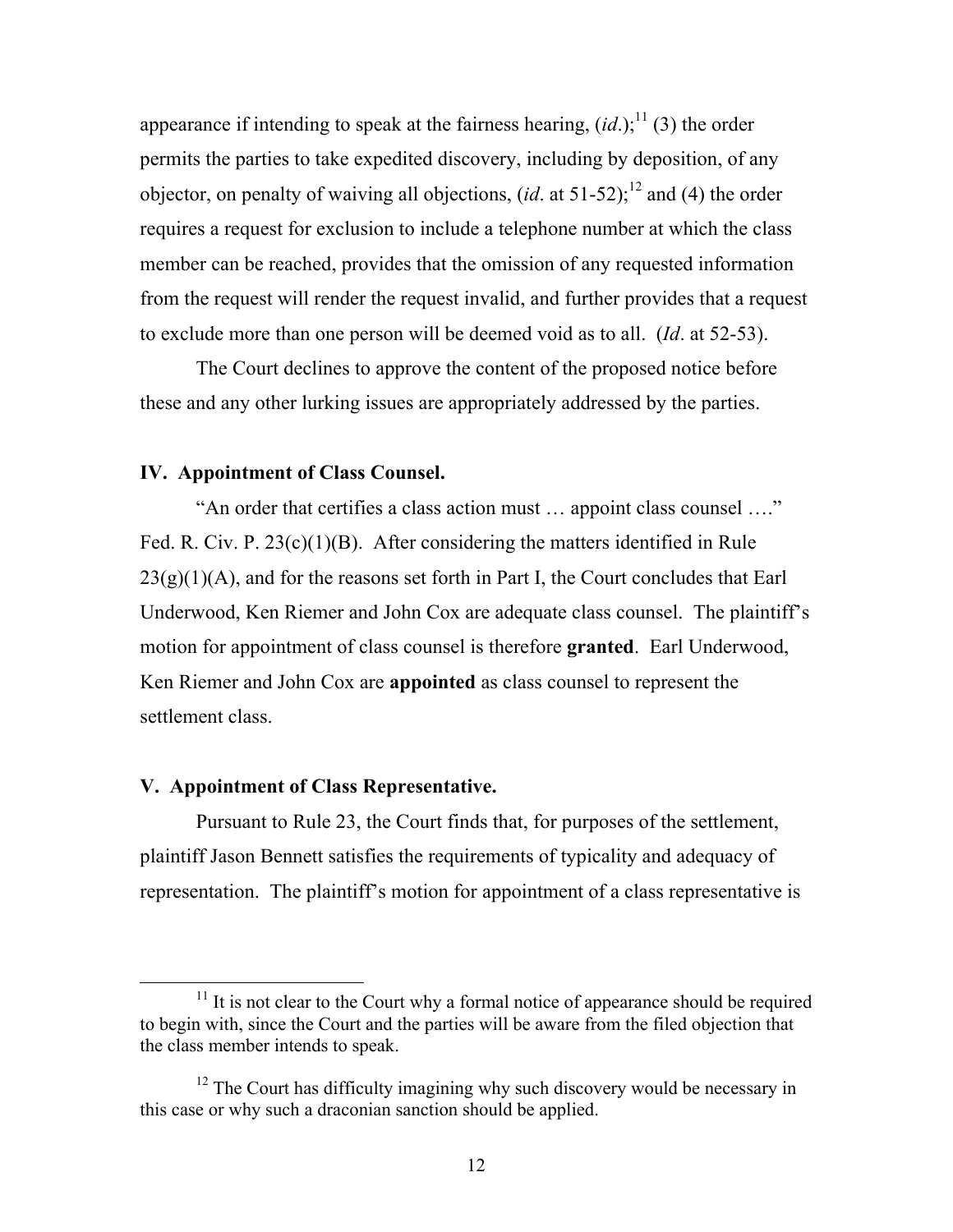appearance if intending to speak at the fairness hearing,  $(id.)$ ;<sup>11</sup> (3) the order permits the parties to take expedited discovery, including by deposition, of any objector, on penalty of waiving all objections,  $(id$  at 51-52);<sup>12</sup> and (4) the order requires a request for exclusion to include a telephone number at which the class member can be reached, provides that the omission of any requested information from the request will render the request invalid, and further provides that a request to exclude more than one person will be deemed void as to all. (*Id*. at 52-53).

The Court declines to approve the content of the proposed notice before these and any other lurking issues are appropriately addressed by the parties.

#### **IV. Appointment of Class Counsel.**

"An order that certifies a class action must … appoint class counsel …." Fed. R. Civ. P. 23(c)(1)(B). After considering the matters identified in Rule  $23(g)(1)(A)$ , and for the reasons set forth in Part I, the Court concludes that Earl Underwood, Ken Riemer and John Cox are adequate class counsel. The plaintiff's motion for appointment of class counsel is therefore **granted**. Earl Underwood, Ken Riemer and John Cox are **appointed** as class counsel to represent the settlement class.

#### **V. Appointment of Class Representative.**

Pursuant to Rule 23, the Court finds that, for purposes of the settlement, plaintiff Jason Bennett satisfies the requirements of typicality and adequacy of representation. The plaintiff's motion for appointment of a class representative is

 $11$  It is not clear to the Court why a formal notice of appearance should be required to begin with, since the Court and the parties will be aware from the filed objection that the class member intends to speak.

 $12$  The Court has difficulty imagining why such discovery would be necessary in this case or why such a draconian sanction should be applied.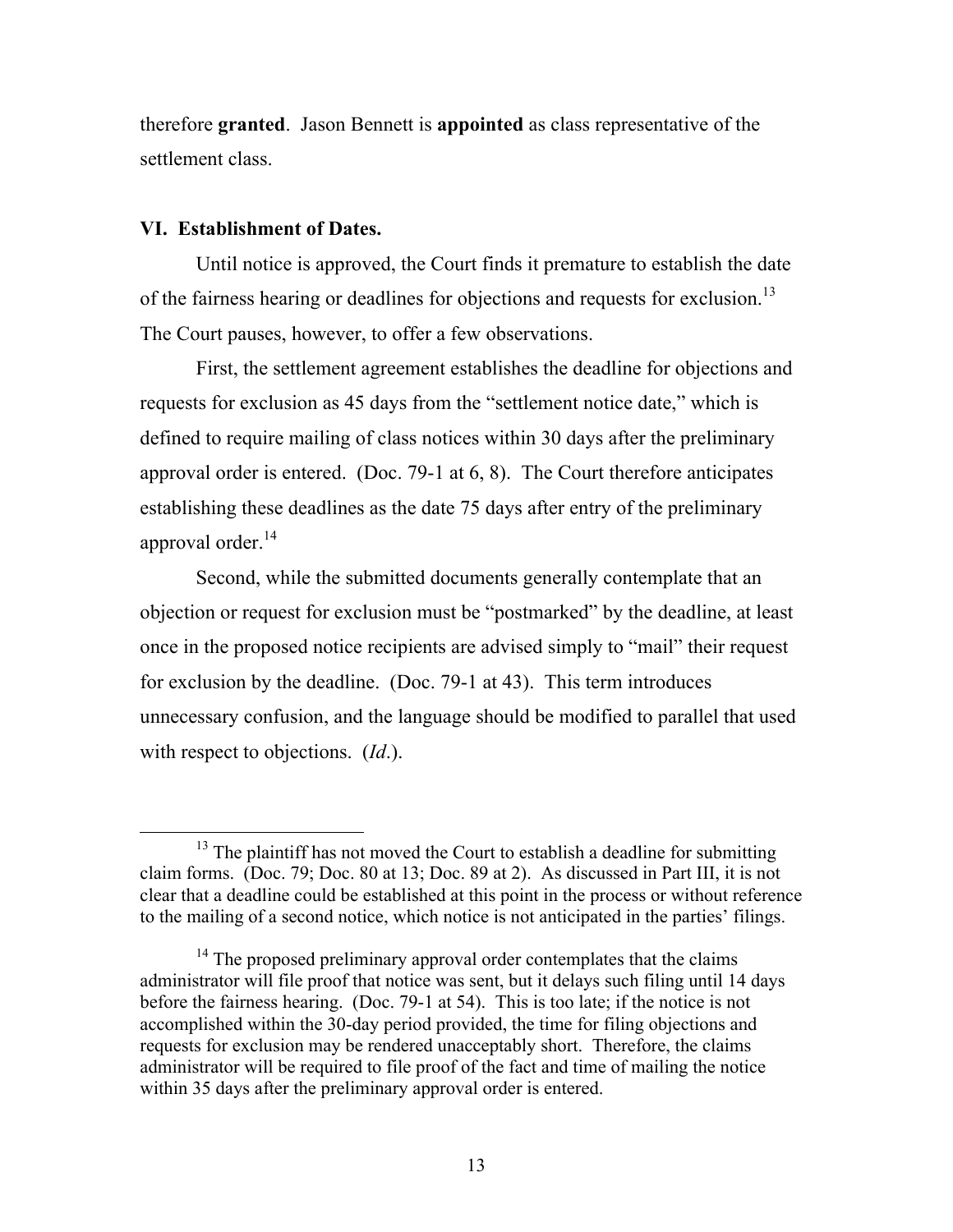therefore **granted**. Jason Bennett is **appointed** as class representative of the settlement class.

## **VI. Establishment of Dates.**

Until notice is approved, the Court finds it premature to establish the date of the fairness hearing or deadlines for objections and requests for exclusion.<sup>13</sup> The Court pauses, however, to offer a few observations.

First, the settlement agreement establishes the deadline for objections and requests for exclusion as 45 days from the "settlement notice date," which is defined to require mailing of class notices within 30 days after the preliminary approval order is entered. (Doc. 79-1 at 6, 8). The Court therefore anticipates establishing these deadlines as the date 75 days after entry of the preliminary approval order. $14$ 

Second, while the submitted documents generally contemplate that an objection or request for exclusion must be "postmarked" by the deadline, at least once in the proposed notice recipients are advised simply to "mail" their request for exclusion by the deadline. (Doc. 79-1 at 43). This term introduces unnecessary confusion, and the language should be modified to parallel that used with respect to objections. (*Id*.).

<sup>&</sup>lt;sup>13</sup> The plaintiff has not moved the Court to establish a deadline for submitting claim forms. (Doc. 79; Doc. 80 at 13; Doc. 89 at 2). As discussed in Part III, it is not clear that a deadline could be established at this point in the process or without reference to the mailing of a second notice, which notice is not anticipated in the parties' filings.

 $14$  The proposed preliminary approval order contemplates that the claims administrator will file proof that notice was sent, but it delays such filing until 14 days before the fairness hearing. (Doc. 79-1 at 54). This is too late; if the notice is not accomplished within the 30-day period provided, the time for filing objections and requests for exclusion may be rendered unacceptably short. Therefore, the claims administrator will be required to file proof of the fact and time of mailing the notice within 35 days after the preliminary approval order is entered.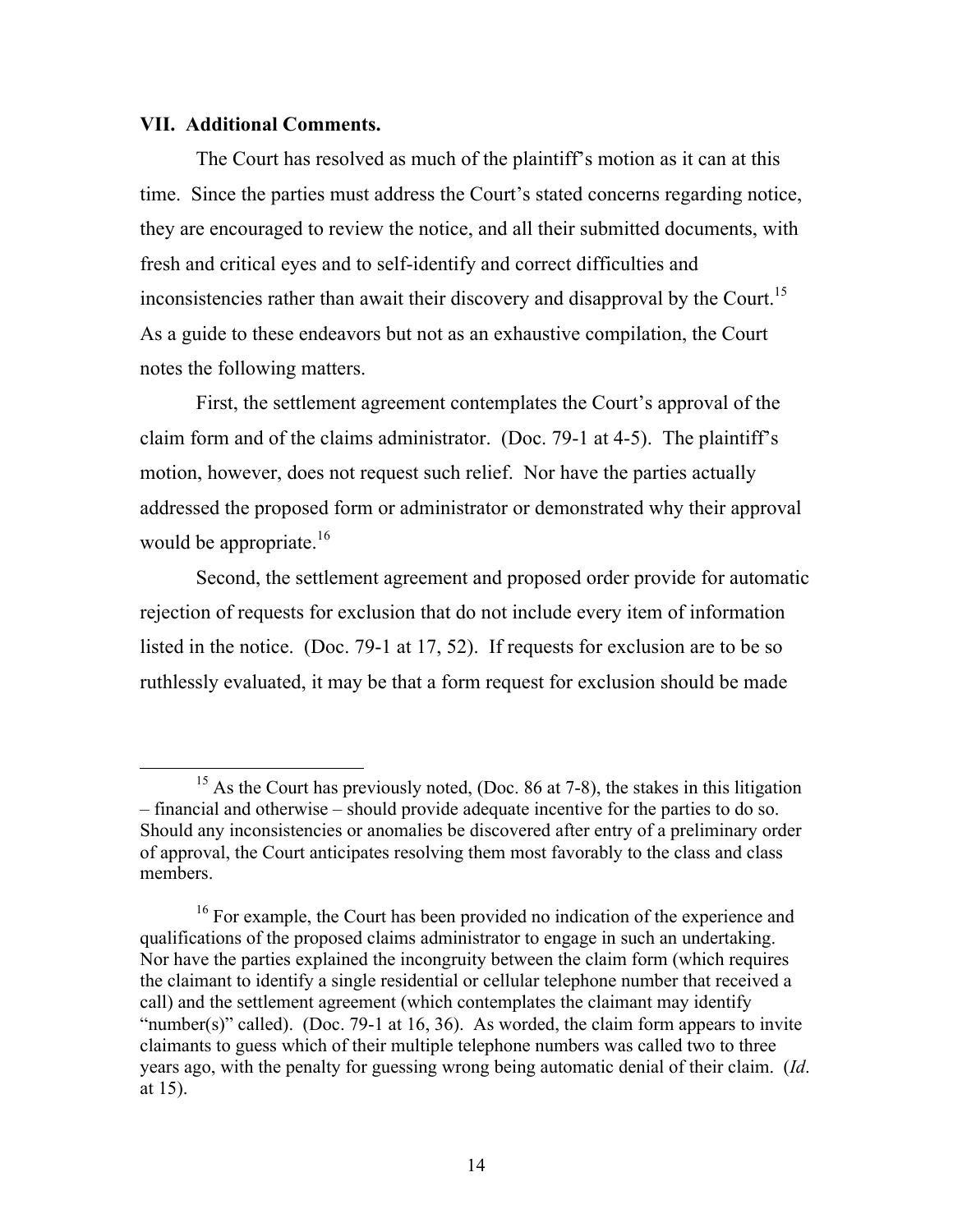### **VII. Additional Comments.**

The Court has resolved as much of the plaintiff's motion as it can at this time. Since the parties must address the Court's stated concerns regarding notice, they are encouraged to review the notice, and all their submitted documents, with fresh and critical eyes and to self-identify and correct difficulties and inconsistencies rather than await their discovery and disapproval by the Court.<sup>15</sup> As a guide to these endeavors but not as an exhaustive compilation, the Court notes the following matters.

First, the settlement agreement contemplates the Court's approval of the claim form and of the claims administrator. (Doc. 79-1 at 4-5). The plaintiff's motion, however, does not request such relief. Nor have the parties actually addressed the proposed form or administrator or demonstrated why their approval would be appropriate. $16$ 

Second, the settlement agreement and proposed order provide for automatic rejection of requests for exclusion that do not include every item of information listed in the notice. (Doc. 79-1 at 17, 52). If requests for exclusion are to be so ruthlessly evaluated, it may be that a form request for exclusion should be made

<sup>&</sup>lt;sup>15</sup> As the Court has previously noted, (Doc. 86 at 7-8), the stakes in this litigation – financial and otherwise – should provide adequate incentive for the parties to do so. Should any inconsistencies or anomalies be discovered after entry of a preliminary order of approval, the Court anticipates resolving them most favorably to the class and class members.

<sup>&</sup>lt;sup>16</sup> For example, the Court has been provided no indication of the experience and qualifications of the proposed claims administrator to engage in such an undertaking. Nor have the parties explained the incongruity between the claim form (which requires the claimant to identify a single residential or cellular telephone number that received a call) and the settlement agreement (which contemplates the claimant may identify "number(s)" called). (Doc. 79-1 at 16, 36). As worded, the claim form appears to invite claimants to guess which of their multiple telephone numbers was called two to three years ago, with the penalty for guessing wrong being automatic denial of their claim. (*Id*. at 15).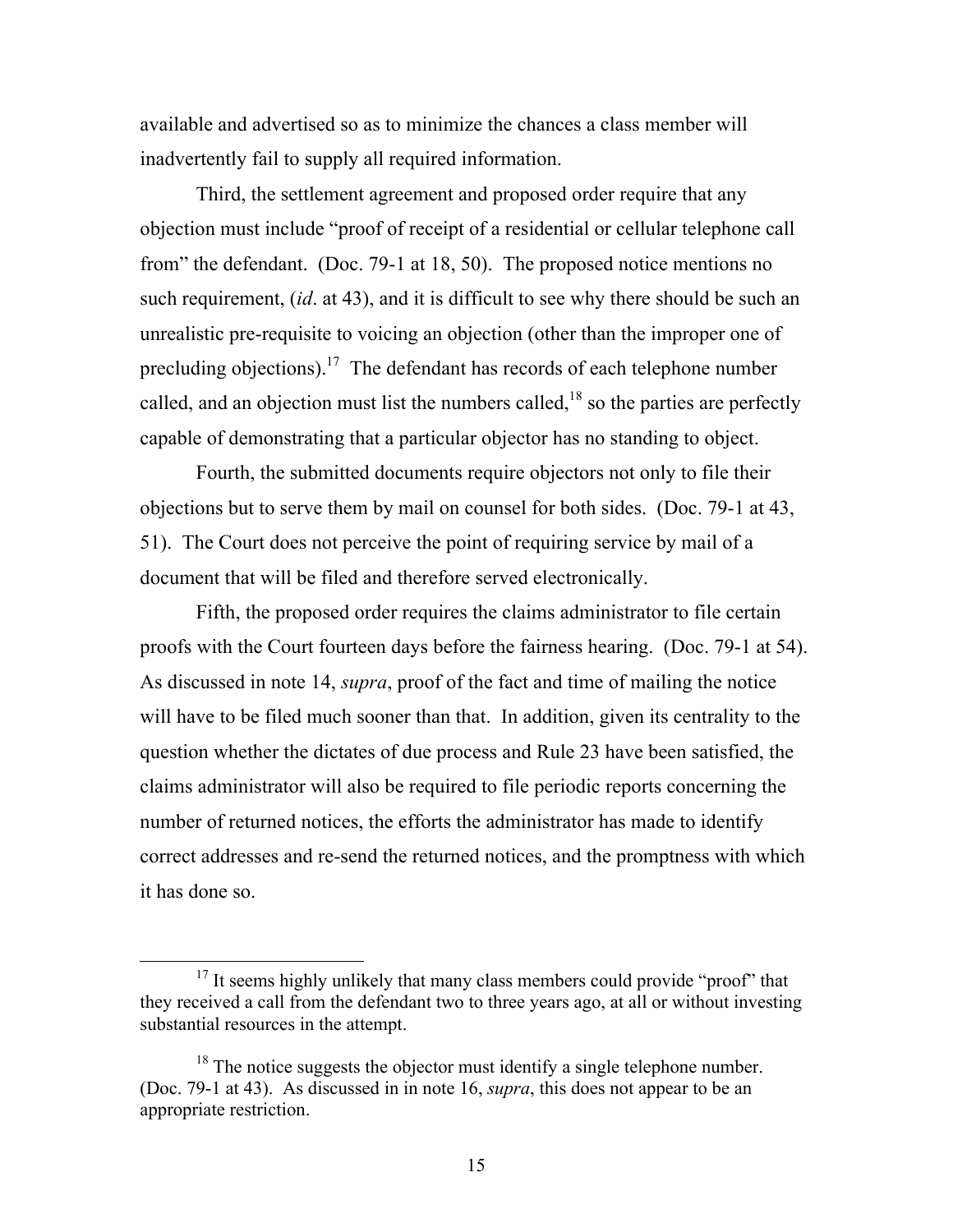available and advertised so as to minimize the chances a class member will inadvertently fail to supply all required information.

Third, the settlement agreement and proposed order require that any objection must include "proof of receipt of a residential or cellular telephone call from" the defendant. (Doc. 79-1 at 18, 50). The proposed notice mentions no such requirement, (*id*. at 43), and it is difficult to see why there should be such an unrealistic pre-requisite to voicing an objection (other than the improper one of precluding objections).<sup>17</sup> The defendant has records of each telephone number called, and an objection must list the numbers called, $18$  so the parties are perfectly capable of demonstrating that a particular objector has no standing to object.

Fourth, the submitted documents require objectors not only to file their objections but to serve them by mail on counsel for both sides. (Doc. 79-1 at 43, 51). The Court does not perceive the point of requiring service by mail of a document that will be filed and therefore served electronically.

Fifth, the proposed order requires the claims administrator to file certain proofs with the Court fourteen days before the fairness hearing. (Doc. 79-1 at 54). As discussed in note 14, *supra*, proof of the fact and time of mailing the notice will have to be filed much sooner than that. In addition, given its centrality to the question whether the dictates of due process and Rule 23 have been satisfied, the claims administrator will also be required to file periodic reports concerning the number of returned notices, the efforts the administrator has made to identify correct addresses and re-send the returned notices, and the promptness with which it has done so.

 $17$  It seems highly unlikely that many class members could provide "proof" that they received a call from the defendant two to three years ago, at all or without investing substantial resources in the attempt.

 $18$  The notice suggests the objector must identify a single telephone number. (Doc. 79-1 at 43). As discussed in in note 16, *supra*, this does not appear to be an appropriate restriction.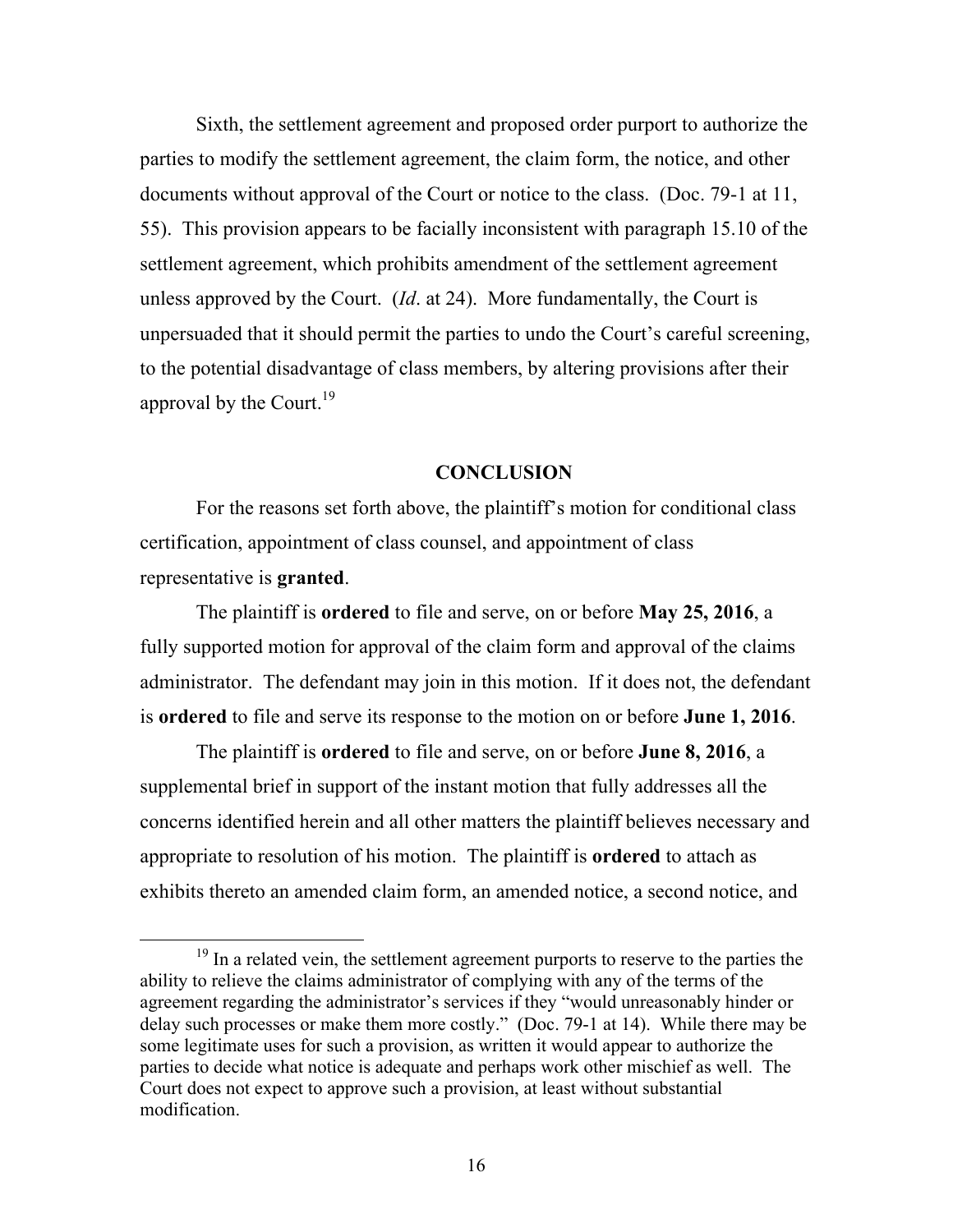Sixth, the settlement agreement and proposed order purport to authorize the parties to modify the settlement agreement, the claim form, the notice, and other documents without approval of the Court or notice to the class. (Doc. 79-1 at 11, 55). This provision appears to be facially inconsistent with paragraph 15.10 of the settlement agreement, which prohibits amendment of the settlement agreement unless approved by the Court. (*Id*. at 24). More fundamentally, the Court is unpersuaded that it should permit the parties to undo the Court's careful screening, to the potential disadvantage of class members, by altering provisions after their approval by the Court.<sup>19</sup>

#### **CONCLUSION**

For the reasons set forth above, the plaintiff's motion for conditional class certification, appointment of class counsel, and appointment of class representative is **granted**.

The plaintiff is **ordered** to file and serve, on or before **May 25, 2016**, a fully supported motion for approval of the claim form and approval of the claims administrator. The defendant may join in this motion. If it does not, the defendant is **ordered** to file and serve its response to the motion on or before **June 1, 2016**.

The plaintiff is **ordered** to file and serve, on or before **June 8, 2016**, a supplemental brief in support of the instant motion that fully addresses all the concerns identified herein and all other matters the plaintiff believes necessary and appropriate to resolution of his motion. The plaintiff is **ordered** to attach as exhibits thereto an amended claim form, an amended notice, a second notice, and

<sup>&</sup>lt;sup>19</sup> In a related vein, the settlement agreement purports to reserve to the parties the ability to relieve the claims administrator of complying with any of the terms of the agreement regarding the administrator's services if they "would unreasonably hinder or delay such processes or make them more costly." (Doc. 79-1 at 14). While there may be some legitimate uses for such a provision, as written it would appear to authorize the parties to decide what notice is adequate and perhaps work other mischief as well. The Court does not expect to approve such a provision, at least without substantial modification.